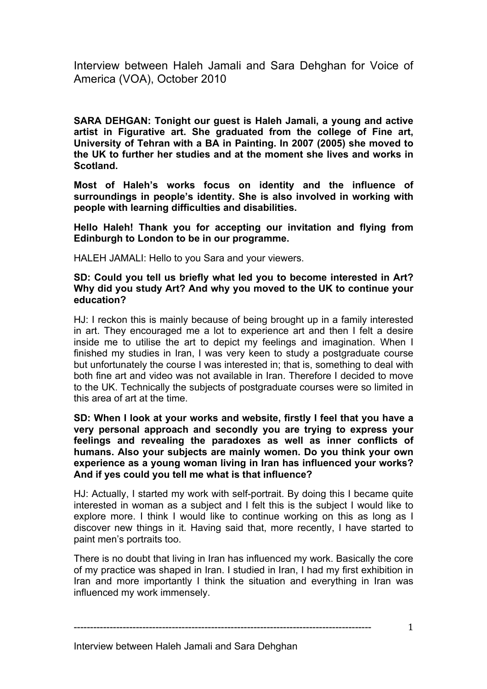Interview between Haleh Jamali and Sara Dehghan for Voice of America (VOA), October 2010

**SARA DEHGAN: Tonight our guest is Haleh Jamali, a young and active artist in Figurative art. She graduated from the college of Fine art, University of Tehran with a BA in Painting. In 2007 (2005) she moved to the UK to further her studies and at the moment she lives and works in Scotland.**

**Most of Haleh's works focus on identity and the influence of surroundings in people's identity. She is also involved in working with people with learning difficulties and disabilities.**

**Hello Haleh! Thank you for accepting our invitation and flying from Edinburgh to London to be in our programme.**

HALEH JAMALI: Hello to you Sara and your viewers.

## **SD: Could you tell us briefly what led you to become interested in Art? Why did you study Art? And why you moved to the UK to continue your education?**

HJ: I reckon this is mainly because of being brought up in a family interested in art. They encouraged me a lot to experience art and then I felt a desire inside me to utilise the art to depict my feelings and imagination. When I finished my studies in Iran, I was very keen to study a postgraduate course but unfortunately the course I was interested in; that is, something to deal with both fine art and video was not available in Iran. Therefore I decided to move to the UK. Technically the subjects of postgraduate courses were so limited in this area of art at the time.

#### **SD: When I look at your works and website, firstly I feel that you have a very personal approach and secondly you are trying to express your feelings and revealing the paradoxes as well as inner conflicts of humans. Also your subjects are mainly women. Do you think your own experience as a young woman living in Iran has influenced your works? And if yes could you tell me what is that influence?**

HJ: Actually, I started my work with self-portrait. By doing this I became quite interested in woman as a subject and I felt this is the subject I would like to explore more. I think I would like to continue working on this as long as I discover new things in it. Having said that, more recently, I have started to paint men's portraits too.

There is no doubt that living in Iran has influenced my work. Basically the core of my practice was shaped in Iran. I studied in Iran, I had my first exhibition in Iran and more importantly I think the situation and everything in Iran was influenced my work immensely.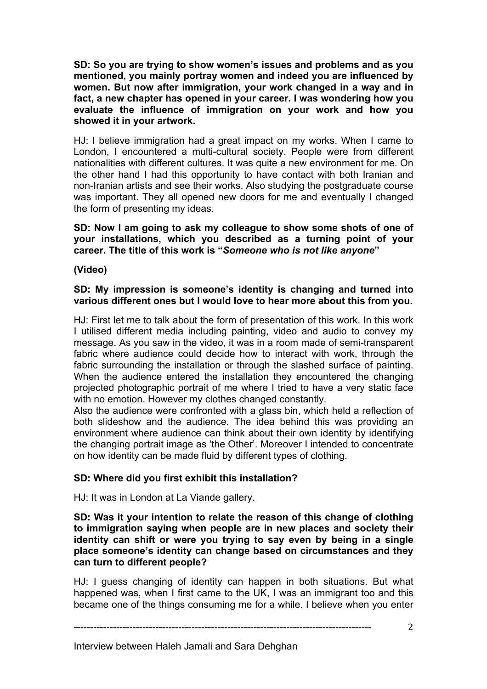**SD: So you are trying to show women's issues and problems and as you mentioned, you mainly portray women and indeed you are influenced by women. But now after immigration, your work changed in a way and in fact, a new chapter has opened in your career. I was wondering how you evaluate the influence of immigration on your work and how you showed it in your artwork.**

HJ: I believe immigration had a great impact on my works. When I came to London, I encountered a multi-cultural society. People were from different nationalities with different cultures. It was quite a new environment for me. On the other hand I had this opportunity to have contact with both Iranian and non-Iranian artists and see their works. Also studying the postgraduate course was important. They all opened new doors for me and eventually I changed the form of presenting my ideas.

**SD: Now I am going to ask my colleague to show some shots of one of your installations, which you described as a turning point of your career. The title of this work is "***Someone who is not like anyone***"**

**(Video)**

# **SD: My impression is someone's identity is changing and turned into various different ones but I would love to hear more about this from you.**

HJ: First let me to talk about the form of presentation of this work. In this work I utilised different media including painting, video and audio to convey my message. As you saw in the video, it was in a room made of semi-transparent fabric where audience could decide how to interact with work, through the fabric surrounding the installation or through the slashed surface of painting. When the audience entered the installation they encountered the changing projected photographic portrait of me where I tried to have a very static face with no emotion. However my clothes changed constantly.

Also the audience were confronted with a glass bin, which held a reflection of both slideshow and the audience. The idea behind this was providing an environment where audience can think about their own identity by identifying the changing portrait image as 'the Other'. Moreover I intended to concentrate on how identity can be made fluid by different types of clothing.

# **SD: Where did you first exhibit this installation?**

HJ: It was in London at La Viande gallery.

**SD: Was it your intention to relate the reason of this change of clothing to immigration saying when people are in new places and society their identity can shift or were you trying to say even by being in a single place someone's identity can change based on circumstances and they can turn to different people?**

HJ: I guess changing of identity can happen in both situations. But what happened was, when I first came to the UK, I was an immigrant too and this became one of the things consuming me for a while. I believe when you enter

Interview between Haleh Jamali and Sara Dehghan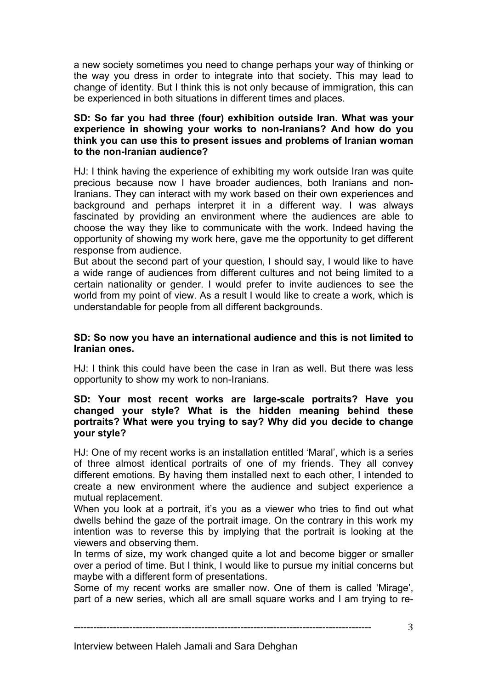a new society sometimes you need to change perhaps your way of thinking or the way you dress in order to integrate into that society. This may lead to change of identity. But I think this is not only because of immigration, this can be experienced in both situations in different times and places.

## **SD: So far you had three (four) exhibition outside Iran. What was your experience in showing your works to non-Iranians? And how do you think you can use this to present issues and problems of Iranian woman to the non-Iranian audience?**

HJ: I think having the experience of exhibiting my work outside Iran was quite precious because now I have broader audiences, both Iranians and non-Iranians. They can interact with my work based on their own experiences and background and perhaps interpret it in a different way. I was always fascinated by providing an environment where the audiences are able to choose the way they like to communicate with the work. Indeed having the opportunity of showing my work here, gave me the opportunity to get different response from audience.

But about the second part of your question, I should say, I would like to have a wide range of audiences from different cultures and not being limited to a certain nationality or gender. I would prefer to invite audiences to see the world from my point of view. As a result I would like to create a work, which is understandable for people from all different backgrounds.

## **SD: So now you have an international audience and this is not limited to Iranian ones.**

HJ: I think this could have been the case in Iran as well. But there was less opportunity to show my work to non-Iranians.

#### **SD: Your most recent works are large-scale portraits? Have you changed your style? What is the hidden meaning behind these portraits? What were you trying to say? Why did you decide to change your style?**

HJ: One of my recent works is an installation entitled 'Maral', which is a series of three almost identical portraits of one of my friends. They all convey different emotions. By having them installed next to each other, I intended to create a new environment where the audience and subject experience a mutual replacement.

When you look at a portrait, it's you as a viewer who tries to find out what dwells behind the gaze of the portrait image. On the contrary in this work my intention was to reverse this by implying that the portrait is looking at the viewers and observing them.

In terms of size, my work changed quite a lot and become bigger or smaller over a period of time. But I think, I would like to pursue my initial concerns but maybe with a different form of presentations.

Some of my recent works are smaller now. One of them is called 'Mirage', part of a new series, which all are small square works and I am trying to re-

-------------------------------------------------------------------------------------------